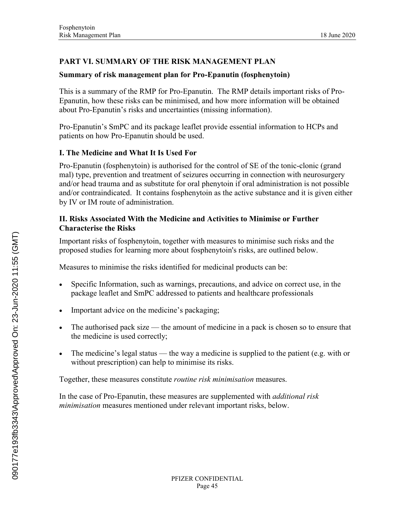# **PART VI. SUMMARY OF THE RISK MANAGEMENT PLAN**

# **Summary of risk management plan for Pro-Epanutin (fosphenytoin)**

This is a summary of the RMP for Pro-Epanutin. The RMP details important risks of Pro-Epanutin, how these risks can be minimised, and how more information will be obtained about Pro-Epanutin's risks and uncertainties (missing information).

Pro-Epanutin's SmPC and its package leaflet provide essential information to HCPs and patients on how Pro-Epanutin should be used.

## **I. The Medicine and What It Is Used For**

Pro-Epanutin (fosphenytoin) is authorised for the control of SE of the tonic-clonic (grand mal) type, prevention and treatment of seizures occurring in connection with neurosurgery and/or head trauma and as substitute for oral phenytoin if oral administration is not possible and/or contraindicated. It contains fosphenytoin as the active substance and it is given either by IV or IM route of administration.

### **II. Risks Associated With the Medicine and Activities to Minimise or Further Characterise the Risks**

Important risks of fosphenytoin, together with measures to minimise such risks and the proposed studies for learning more about fosphenytoin's risks, are outlined below.

Measures to minimise the risks identified for medicinal products can be:

- Specific Information, such as warnings, precautions, and advice on correct use, in the package leaflet and SmPC addressed to patients and healthcare professionals
- Important advice on the medicine's packaging;
- The authorised pack size the amount of medicine in a pack is chosen so to ensure that the medicine is used correctly;
- The medicine's legal status the way a medicine is supplied to the patient (e.g. with or without prescription) can help to minimise its risks.

Together, these measures constitute *routine risk minimisation* measures.

In the case of Pro-Epanutin, these measures are supplemented with *additional risk minimisation* measures mentioned under relevant important risks, below.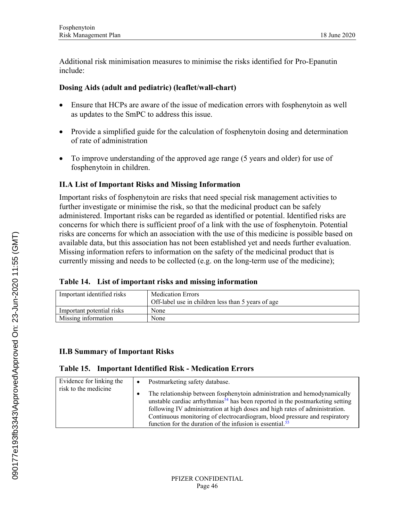Additional risk minimisation measures to minimise the risks identified for Pro-Epanutin include:

### **Dosing Aids (adult and pediatric) (leaflet/wall-chart)**

- Ensure that HCPs are aware of the issue of medication errors with fosphenytoin as well as updates to the SmPC to address this issue.
- Provide a simplified guide for the calculation of fosphenytoin dosing and determination of rate of administration
- To improve understanding of the approved age range (5 years and older) for use of fosphenytoin in children.

### **II.A List of Important Risks and Missing Information**

Important risks of fosphenytoin are risks that need special risk management activities to further investigate or minimise the risk, so that the medicinal product can be safely administered. Important risks can be regarded as identified or potential. Identified risks are concerns for which there is sufficient proof of a link with the use of fosphenytoin. Potential risks are concerns for which an association with the use of this medicine is possible based on available data, but this association has not been established yet and needs further evaluation. Missing information refers to information on the safety of the medicinal product that is currently missing and needs to be collected (e.g. on the long-term use of the medicine);

|  | Table 14. List of important risks and missing information |
|--|-----------------------------------------------------------|
|  |                                                           |

| <b>Medication Errors</b>                           |
|----------------------------------------------------|
| Off-label use in children less than 5 years of age |
| None                                               |
| None                                               |
|                                                    |

### **II.B Summary of Important Risks**

#### **Table 15. Important Identified Risk - Medication Errors**

| Evidence for linking the<br>risk to the medicine | Postmarketing safety database.<br>The relationship between fosphenytoin administration and hemodynamically<br>٠<br>unstable cardiac arrhythmias <sup><math>54</math></sup> has been reported in the postmarketing setting<br>following IV administration at high doses and high rates of administration.<br>Continuous monitoring of electrocardiogram, blood pressure and respiratory |
|--------------------------------------------------|----------------------------------------------------------------------------------------------------------------------------------------------------------------------------------------------------------------------------------------------------------------------------------------------------------------------------------------------------------------------------------------|
|                                                  | function for the duration of the infusion is essential. <sup>55</sup>                                                                                                                                                                                                                                                                                                                  |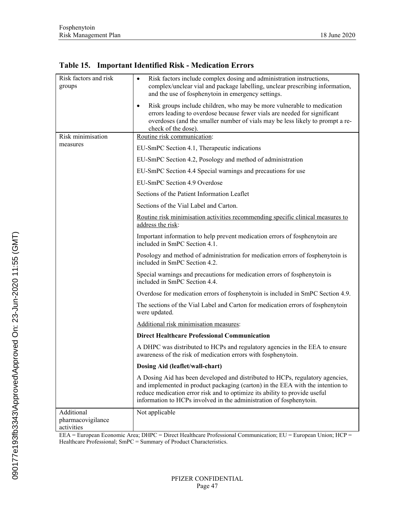| Risk factors and risk<br>groups | Risk factors include complex dosing and administration instructions,<br>$\bullet$<br>complex/unclear vial and package labelling, unclear prescribing information,<br>and the use of fosphenytoin in emergency settings.                                                                                              |  |
|---------------------------------|----------------------------------------------------------------------------------------------------------------------------------------------------------------------------------------------------------------------------------------------------------------------------------------------------------------------|--|
|                                 | Risk groups include children, who may be more vulnerable to medication<br>errors leading to overdose because fewer vials are needed for significant<br>overdoses (and the smaller number of vials may be less likely to prompt a re-<br>check of the dose).                                                          |  |
| Risk minimisation               | Routine risk communication:                                                                                                                                                                                                                                                                                          |  |
| measures                        | EU-SmPC Section 4.1, Therapeutic indications                                                                                                                                                                                                                                                                         |  |
|                                 | EU-SmPC Section 4.2, Posology and method of administration                                                                                                                                                                                                                                                           |  |
|                                 | EU-SmPC Section 4.4 Special warnings and precautions for use                                                                                                                                                                                                                                                         |  |
|                                 | EU-SmPC Section 4.9 Overdose                                                                                                                                                                                                                                                                                         |  |
|                                 | Sections of the Patient Information Leaflet                                                                                                                                                                                                                                                                          |  |
|                                 | Sections of the Vial Label and Carton.                                                                                                                                                                                                                                                                               |  |
|                                 | Routine risk minimisation activities recommending specific clinical measures to<br>address the risk:                                                                                                                                                                                                                 |  |
|                                 | Important information to help prevent medication errors of fosphenytoin are<br>included in SmPC Section 4.1.                                                                                                                                                                                                         |  |
|                                 | Posology and method of administration for medication errors of fosphenytoin is<br>included in SmPC Section 4.2.                                                                                                                                                                                                      |  |
|                                 | Special warnings and precautions for medication errors of fosphenytoin is<br>included in SmPC Section 4.4.                                                                                                                                                                                                           |  |
|                                 | Overdose for medication errors of fosphenytoin is included in SmPC Section 4.9.                                                                                                                                                                                                                                      |  |
|                                 | The sections of the Vial Label and Carton for medication errors of fosphenytoin<br>were updated.                                                                                                                                                                                                                     |  |
|                                 | Additional risk minimisation measures:                                                                                                                                                                                                                                                                               |  |
|                                 | <b>Direct Healthcare Professional Communication</b>                                                                                                                                                                                                                                                                  |  |
|                                 | A DHPC was distributed to HCPs and regulatory agencies in the EEA to ensure<br>awareness of the risk of medication errors with fosphenytoin.                                                                                                                                                                         |  |
|                                 | Dosing Aid (leaflet/wall-chart)                                                                                                                                                                                                                                                                                      |  |
|                                 | A Dosing Aid has been developed and distributed to HCPs, regulatory agencies,<br>and implemented in product packaging (carton) in the EEA with the intention to<br>reduce medication error risk and to optimize its ability to provide useful<br>information to HCPs involved in the administration of fosphenytoin. |  |
| Additional                      | Not applicable                                                                                                                                                                                                                                                                                                       |  |
| pharmacovigilance<br>activities |                                                                                                                                                                                                                                                                                                                      |  |

**Table 15. Important Identified Risk - Medication Errors**

EEA = European Economic Area; DHPC = Direct Healthcare Professional Communication; EU = European Union; HCP = Healthcare Professional; SmPC = Summary of Product Characteristics.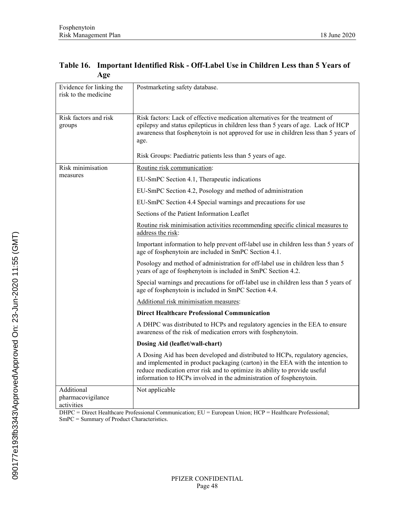| Evidence for linking the<br>risk to the medicine | Postmarketing safety database.                                                                                                                                                                                                                                                                                       |
|--------------------------------------------------|----------------------------------------------------------------------------------------------------------------------------------------------------------------------------------------------------------------------------------------------------------------------------------------------------------------------|
| Risk factors and risk<br>groups                  | Risk factors: Lack of effective medication alternatives for the treatment of<br>epilepsy and status epilepticus in children less than 5 years of age. Lack of HCP<br>awareness that fosphenytoin is not approved for use in children less than 5 years of<br>age.                                                    |
|                                                  | Risk Groups: Paediatric patients less than 5 years of age.                                                                                                                                                                                                                                                           |
| Risk minimisation                                | Routine risk communication:                                                                                                                                                                                                                                                                                          |
| measures                                         | EU-SmPC Section 4.1, Therapeutic indications                                                                                                                                                                                                                                                                         |
|                                                  | EU-SmPC Section 4.2, Posology and method of administration                                                                                                                                                                                                                                                           |
|                                                  | EU-SmPC Section 4.4 Special warnings and precautions for use                                                                                                                                                                                                                                                         |
|                                                  | Sections of the Patient Information Leaflet                                                                                                                                                                                                                                                                          |
|                                                  | Routine risk minimisation activities recommending specific clinical measures to<br>address the risk:                                                                                                                                                                                                                 |
|                                                  | Important information to help prevent off-label use in children less than 5 years of<br>age of fosphenytoin are included in SmPC Section 4.1.                                                                                                                                                                        |
|                                                  | Posology and method of administration for off-label use in children less than 5<br>years of age of fosphenytoin is included in SmPC Section 4.2.                                                                                                                                                                     |
|                                                  | Special warnings and precautions for off-label use in children less than 5 years of<br>age of fosphenytoin is included in SmPC Section 4.4.                                                                                                                                                                          |
|                                                  | Additional risk minimisation measures:                                                                                                                                                                                                                                                                               |
|                                                  | <b>Direct Healthcare Professional Communication</b>                                                                                                                                                                                                                                                                  |
|                                                  | A DHPC was distributed to HCPs and regulatory agencies in the EEA to ensure<br>awareness of the risk of medication errors with fosphenytoin.                                                                                                                                                                         |
|                                                  | Dosing Aid (leaflet/wall-chart)                                                                                                                                                                                                                                                                                      |
|                                                  | A Dosing Aid has been developed and distributed to HCPs, regulatory agencies,<br>and implemented in product packaging (carton) in the EEA with the intention to<br>reduce medication error risk and to optimize its ability to provide useful<br>information to HCPs involved in the administration of fosphenytoin. |
| Additional                                       | Not applicable                                                                                                                                                                                                                                                                                                       |
| pharmacovigilance<br>activities                  |                                                                                                                                                                                                                                                                                                                      |

### **Table 16. Important Identified Risk - Off-Label Use in Children Less than 5 Years of Age**

DHPC = Direct Healthcare Professional Communication; EU = European Union; HCP = Healthcare Professional; SmPC = Summary of Product Characteristics.